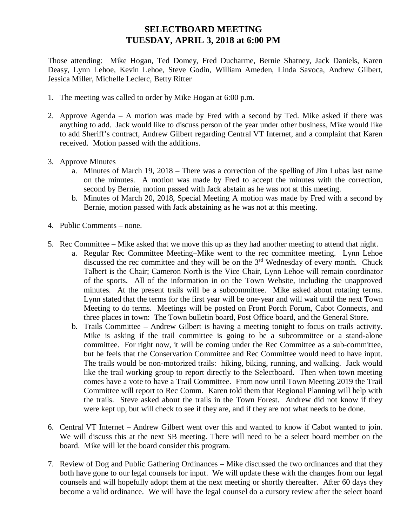## **SELECTBOARD MEETING TUESDAY, APRIL 3, 2018 at 6:00 PM**

Those attending: Mike Hogan, Ted Domey, Fred Ducharme, Bernie Shatney, Jack Daniels, Karen Deasy, Lynn Lehoe, Kevin Lehoe, Steve Godin, William Ameden, Linda Savoca, Andrew Gilbert, Jessica Miller, Michelle Leclerc, Betty Ritter

- 1. The meeting was called to order by Mike Hogan at 6:00 p.m.
- 2. Approve Agenda A motion was made by Fred with a second by Ted. Mike asked if there was anything to add. Jack would like to discuss person of the year under other business, Mike would like to add Sheriff's contract, Andrew Gilbert regarding Central VT Internet, and a complaint that Karen received. Motion passed with the additions.
- 3. Approve Minutes
	- a. Minutes of March 19, 2018 There was a correction of the spelling of Jim Lubas last name on the minutes. A motion was made by Fred to accept the minutes with the correction, second by Bernie, motion passed with Jack abstain as he was not at this meeting.
	- b. Minutes of March 20, 2018, Special Meeting A motion was made by Fred with a second by Bernie, motion passed with Jack abstaining as he was not at this meeting.
- 4. Public Comments none.
- 5. Rec Committee Mike asked that we move this up as they had another meeting to attend that night.
	- a. Regular Rec Committee Meeting–Mike went to the rec committee meeting. Lynn Lehoe discussed the rec committee and they will be on the 3<sup>rd</sup> Wednesday of every month. Chuck Talbert is the Chair; Cameron North is the Vice Chair, Lynn Lehoe will remain coordinator of the sports. All of the information in on the Town Website, including the unapproved minutes. At the present trails will be a subcommittee. Mike asked about rotating terms. Lynn stated that the terms for the first year will be one-year and will wait until the next Town Meeting to do terms. Meetings will be posted on Front Porch Forum, Cabot Connects, and three places in town: The Town bulletin board, Post Office board, and the General Store.
	- b. Trails Committee Andrew Gilbert is having a meeting tonight to focus on trails activity. Mike is asking if the trail committee is going to be a subcommittee or a stand-alone committee. For right now, it will be coming under the Rec Committee as a sub-committee, but he feels that the Conservation Committee and Rec Committee would need to have input. The trails would be non-motorized trails: hiking, biking, running, and walking. Jack would like the trail working group to report directly to the Selectboard. Then when town meeting comes have a vote to have a Trail Committee. From now until Town Meeting 2019 the Trail Committee will report to Rec Comm. Karen told them that Regional Planning will help with the trails. Steve asked about the trails in the Town Forest. Andrew did not know if they were kept up, but will check to see if they are, and if they are not what needs to be done.
- 6. Central VT Internet Andrew Gilbert went over this and wanted to know if Cabot wanted to join. We will discuss this at the next SB meeting. There will need to be a select board member on the board. Mike will let the board consider this program.
- 7. Review of Dog and Public Gathering Ordinances Mike discussed the two ordinances and that they both have gone to our legal counsels for input. We will update these with the changes from our legal counsels and will hopefully adopt them at the next meeting or shortly thereafter. After 60 days they become a valid ordinance. We will have the legal counsel do a cursory review after the select board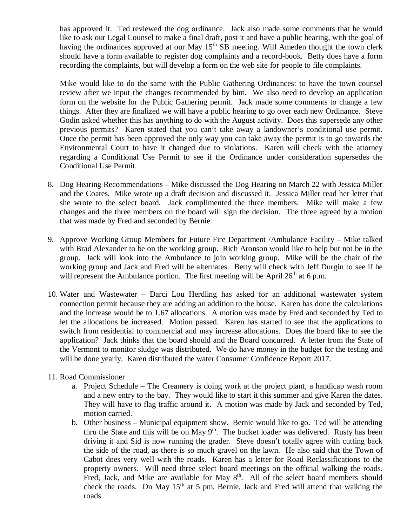has approved it. Ted reviewed the dog ordinance. Jack also made some comments that he would like to ask our Legal Counsel to make a final draft, post it and have a public hearing, with the goal of having the ordinances approved at our May  $15<sup>th</sup>$  SB meeting. Will Ameden thought the town clerk should have a form available to register dog complaints and a record-book. Betty does have a form recording the complaints, but will develop a form on the web site for people to file complaints.

Mike would like to do the same with the Public Gathering Ordinances: to have the town counsel review after we input the changes recommended by him. We also need to develop an application form on the website for the Public Gathering permit. Jack made some comments to change a few things. After they are finalized we will have a public hearing to go over each new Ordinance. Steve Godin asked whether this has anything to do with the August activity. Does this supersede any other previous permits? Karen stated that you can't take away a landowner's conditional use permit. Once the permit has been approved the only way you can take away the permit is to go towards the Environmental Court to have it changed due to violations. Karen will check with the attorney regarding a Conditional Use Permit to see if the Ordinance under consideration supersedes the Conditional Use Permit.

- 8. Dog Hearing Recommendations Mike discussed the Dog Hearing on March 22 with Jessica Miller and the Coates. Mike wrote up a draft decision and discussed it. Jessica Miller read her letter that she wrote to the select board. Jack complimented the three members. Mike will make a few changes and the three members on the board will sign the decision. The three agreed by a motion that was made by Fred and seconded by Bernie.
- 9. Approve Working Group Members for Future Fire Department /Ambulance Facility Mike talked with Brad Alexander to be on the working group. Rich Aronson would like to help but not be in the group. Jack will look into the Ambulance to join working group. Mike will be the chair of the working group and Jack and Fred will be alternates. Betty will check with Jeff Durgin to see if he will represent the Ambulance portion. The first meeting will be April  $26<sup>th</sup>$  at 6 p.m.
- 10. Water and Wastewater Darci Lou Herdling has asked for an additional wastewater system connection permit because they are adding an addition to the house. Karen has done the calculations and the increase would be to 1.67 allocations. A motion was made by Fred and seconded by Ted to let the allocations be increased. Motion passed. Karen has started to see that the applications to switch from residential to commercial and may increase allocations. Does the board like to see the application? Jack thinks that the board should and the Board concurred. A letter from the State of the Vermont to monitor sludge was distributed. We do have money in the budget for the testing and will be done yearly. Karen distributed the water Consumer Confidence Report 2017.
- 11. Road Commissioner
	- a. Project Schedule The Creamery is doing work at the project plant, a handicap wash room and a new entry to the bay. They would like to start it this summer and give Karen the dates. They will have to flag traffic around it. A motion was made by Jack and seconded by Ted, motion carried.
	- b. Other business Municipal equipment show. Bernie would like to go. Ted will be attending thru the State and this will be on May  $9<sup>th</sup>$ . The bucket loader was delivered. Rusty has been driving it and Sid is now running the grader. Steve doesn't totally agree with cutting back the side of the road, as there is so much gravel on the lawn. He also said that the Town of Cabot does very well with the roads. Karen has a letter for Road Reclassifications to the property owners. Will need three select board meetings on the official walking the roads. Fred, Jack, and Mike are available for May  $8<sup>th</sup>$ . All of the select board members should check the roads. On May  $15<sup>th</sup>$  at 5 pm, Bernie, Jack and Fred will attend that walking the roads.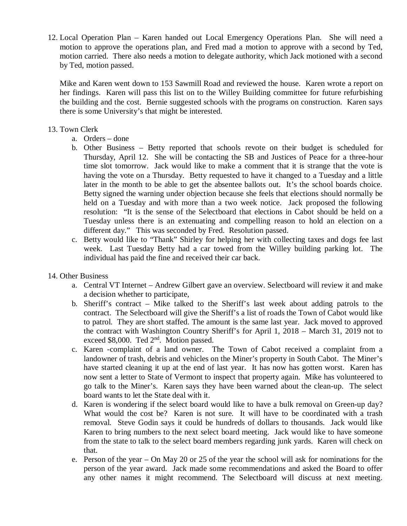12. Local Operation Plan – Karen handed out Local Emergency Operations Plan. She will need a motion to approve the operations plan, and Fred mad a motion to approve with a second by Ted, motion carried. There also needs a motion to delegate authority, which Jack motioned with a second by Ted, motion passed.

Mike and Karen went down to 153 Sawmill Road and reviewed the house. Karen wrote a report on her findings. Karen will pass this list on to the Willey Building committee for future refurbishing the building and the cost. Bernie suggested schools with the programs on construction. Karen says there is some University's that might be interested.

## 13. Town Clerk

- a. Orders done
- b. Other Business Betty reported that schools revote on their budget is scheduled for Thursday, April 12. She will be contacting the SB and Justices of Peace for a three-hour time slot tomorrow. Jack would like to make a comment that it is strange that the vote is having the vote on a Thursday. Betty requested to have it changed to a Tuesday and a little later in the month to be able to get the absentee ballots out. It's the school boards choice. Betty signed the warning under objection because she feels that elections should normally be held on a Tuesday and with more than a two week notice. Jack proposed the following resolution: "It is the sense of the Selectboard that elections in Cabot should be held on a Tuesday unless there is an extenuating and compelling reason to hold an election on a different day." This was seconded by Fred. Resolution passed.
- c. Betty would like to "Thank" Shirley for helping her with collecting taxes and dogs fee last week. Last Tuesday Betty had a car towed from the Willey building parking lot. The individual has paid the fine and received their car back.

## 14. Other Business

- a. Central VT Internet Andrew Gilbert gave an overview. Selectboard will review it and make a decision whether to participate,
- b. Sheriff's contract Mike talked to the Sheriff's last week about adding patrols to the contract. The Selectboard will give the Sheriff's a list of roads the Town of Cabot would like to patrol. They are short staffed. The amount is the same last year. Jack moved to approved the contract with Washington Country Sheriff's for April 1, 2018 – March 31, 2019 not to exceed \$8,000. Ted  $2^{nd}$ . Motion passed.
- c. Karen -complaint of a land owner. The Town of Cabot received a complaint from a landowner of trash, debris and vehicles on the Miner's property in South Cabot. The Miner's have started cleaning it up at the end of last year. It has now has gotten worst. Karen has now sent a letter to State of Vermont to inspect that property again. Mike has volunteered to go talk to the Miner's. Karen says they have been warned about the clean-up. The select board wants to let the State deal with it.
- d. Karen is wondering if the select board would like to have a bulk removal on Green-up day? What would the cost be? Karen is not sure. It will have to be coordinated with a trash removal. Steve Godin says it could be hundreds of dollars to thousands. Jack would like Karen to bring numbers to the next select board meeting. Jack would like to have someone from the state to talk to the select board members regarding junk yards. Karen will check on that.
- e. Person of the year On May 20 or 25 of the year the school will ask for nominations for the person of the year award. Jack made some recommendations and asked the Board to offer any other names it might recommend. The Selectboard will discuss at next meeting.